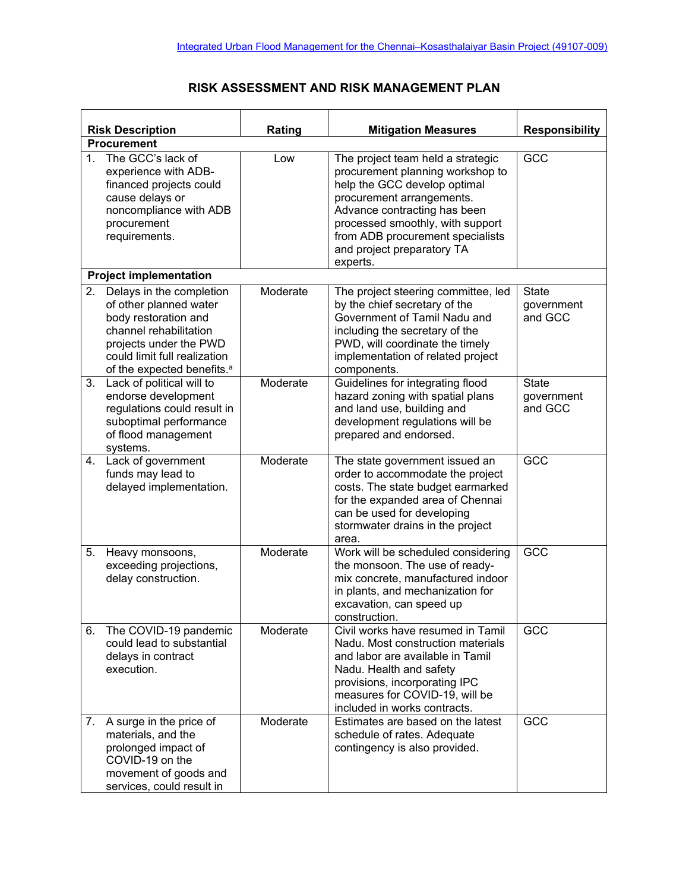## **RISK ASSESSMENT AND RISK MANAGEMENT PLAN**

| <b>Risk Description</b> |                                                                                                                                                                                                          | Rating   | <b>Mitigation Measures</b>                                                                                                                                                                                                                                                           | <b>Responsibility</b>                 |
|-------------------------|----------------------------------------------------------------------------------------------------------------------------------------------------------------------------------------------------------|----------|--------------------------------------------------------------------------------------------------------------------------------------------------------------------------------------------------------------------------------------------------------------------------------------|---------------------------------------|
|                         | <b>Procurement</b>                                                                                                                                                                                       |          |                                                                                                                                                                                                                                                                                      |                                       |
| $1_{-}$                 | The GCC's lack of<br>experience with ADB-<br>financed projects could<br>cause delays or<br>noncompliance with ADB<br>procurement<br>requirements.                                                        | Low      | The project team held a strategic<br>procurement planning workshop to<br>help the GCC develop optimal<br>procurement arrangements.<br>Advance contracting has been<br>processed smoothly, with support<br>from ADB procurement specialists<br>and project preparatory TA<br>experts. | GCC                                   |
|                         | <b>Project implementation</b>                                                                                                                                                                            |          |                                                                                                                                                                                                                                                                                      |                                       |
| 2.                      | Delays in the completion<br>of other planned water<br>body restoration and<br>channel rehabilitation<br>projects under the PWD<br>could limit full realization<br>of the expected benefits. <sup>a</sup> | Moderate | The project steering committee, led<br>by the chief secretary of the<br>Government of Tamil Nadu and<br>including the secretary of the<br>PWD, will coordinate the timely<br>implementation of related project<br>components.                                                        | <b>State</b><br>government<br>and GCC |
|                         | 3. Lack of political will to<br>endorse development<br>regulations could result in<br>suboptimal performance<br>of flood management<br>systems.                                                          | Moderate | Guidelines for integrating flood<br>hazard zoning with spatial plans<br>and land use, building and<br>development regulations will be<br>prepared and endorsed.                                                                                                                      | <b>State</b><br>government<br>and GCC |
| 4.                      | Lack of government<br>funds may lead to<br>delayed implementation.                                                                                                                                       | Moderate | The state government issued an<br>order to accommodate the project<br>costs. The state budget earmarked<br>for the expanded area of Chennai<br>can be used for developing<br>stormwater drains in the project<br>area.                                                               | GCC                                   |
| 5.                      | Heavy monsoons,<br>exceeding projections,<br>delay construction.                                                                                                                                         | Moderate | Work will be scheduled considering<br>the monsoon. The use of ready-<br>mix concrete, manufactured indoor<br>in plants, and mechanization for<br>excavation, can speed up<br>construction.                                                                                           | GCC                                   |
| 6.                      | The COVID-19 pandemic<br>could lead to substantial<br>delays in contract<br>execution.                                                                                                                   | Moderate | Civil works have resumed in Tamil<br>Nadu. Most construction materials<br>and labor are available in Tamil<br>Nadu. Health and safety<br>provisions, incorporating IPC<br>measures for COVID-19, will be<br>included in works contracts.                                             | GCC                                   |
| 7.                      | A surge in the price of<br>materials, and the<br>prolonged impact of<br>COVID-19 on the<br>movement of goods and<br>services, could result in                                                            | Moderate | Estimates are based on the latest<br>schedule of rates. Adequate<br>contingency is also provided.                                                                                                                                                                                    | GCC                                   |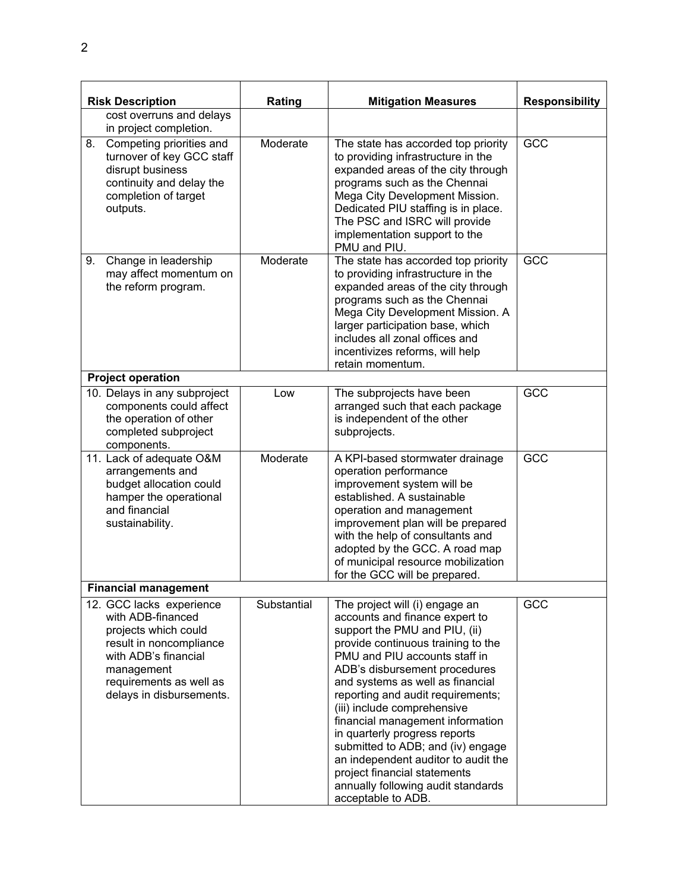| <b>Risk Description</b>                                                                                                                                                                       | Rating      | <b>Mitigation Measures</b>                                                                                                                                                                                                                                                                                                                                                                                                                                                                                                                                     | <b>Responsibility</b> |
|-----------------------------------------------------------------------------------------------------------------------------------------------------------------------------------------------|-------------|----------------------------------------------------------------------------------------------------------------------------------------------------------------------------------------------------------------------------------------------------------------------------------------------------------------------------------------------------------------------------------------------------------------------------------------------------------------------------------------------------------------------------------------------------------------|-----------------------|
| cost overruns and delays<br>in project completion.                                                                                                                                            |             |                                                                                                                                                                                                                                                                                                                                                                                                                                                                                                                                                                |                       |
| Competing priorities and<br>8.<br>turnover of key GCC staff<br>disrupt business<br>continuity and delay the<br>completion of target<br>outputs.                                               | Moderate    | The state has accorded top priority<br>to providing infrastructure in the<br>expanded areas of the city through<br>programs such as the Chennai<br>Mega City Development Mission.<br>Dedicated PIU staffing is in place.<br>The PSC and ISRC will provide<br>implementation support to the<br>PMU and PIU.                                                                                                                                                                                                                                                     | GCC                   |
| 9.<br>Change in leadership<br>may affect momentum on<br>the reform program.                                                                                                                   | Moderate    | The state has accorded top priority<br>to providing infrastructure in the<br>expanded areas of the city through<br>programs such as the Chennai<br>Mega City Development Mission. A<br>larger participation base, which<br>includes all zonal offices and<br>incentivizes reforms, will help<br>retain momentum.                                                                                                                                                                                                                                               | GCC                   |
| <b>Project operation</b>                                                                                                                                                                      |             |                                                                                                                                                                                                                                                                                                                                                                                                                                                                                                                                                                |                       |
| 10. Delays in any subproject<br>components could affect<br>the operation of other<br>completed subproject<br>components.                                                                      | Low         | The subprojects have been<br>arranged such that each package<br>is independent of the other<br>subprojects.                                                                                                                                                                                                                                                                                                                                                                                                                                                    | GCC                   |
| 11. Lack of adequate O&M<br>arrangements and<br>budget allocation could<br>hamper the operational<br>and financial<br>sustainability.                                                         | Moderate    | A KPI-based stormwater drainage<br>operation performance<br>improvement system will be<br>established. A sustainable<br>operation and management<br>improvement plan will be prepared<br>with the help of consultants and<br>adopted by the GCC. A road map<br>of municipal resource mobilization<br>for the GCC will be prepared.                                                                                                                                                                                                                             | GCC                   |
| <b>Financial management</b>                                                                                                                                                                   |             |                                                                                                                                                                                                                                                                                                                                                                                                                                                                                                                                                                |                       |
| 12. GCC lacks experience<br>with ADB-financed<br>projects which could<br>result in noncompliance<br>with ADB's financial<br>management<br>requirements as well as<br>delays in disbursements. | Substantial | The project will (i) engage an<br>accounts and finance expert to<br>support the PMU and PIU, (ii)<br>provide continuous training to the<br>PMU and PIU accounts staff in<br>ADB's disbursement procedures<br>and systems as well as financial<br>reporting and audit requirements;<br>(iii) include comprehensive<br>financial management information<br>in quarterly progress reports<br>submitted to ADB; and (iv) engage<br>an independent auditor to audit the<br>project financial statements<br>annually following audit standards<br>acceptable to ADB. | GCC                   |